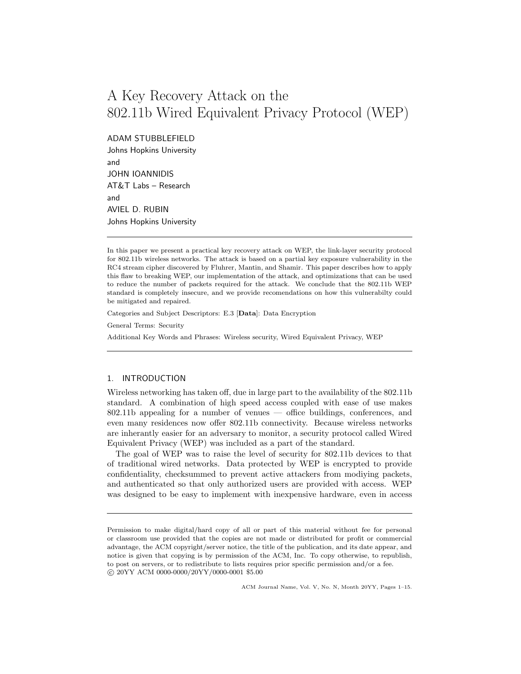# A Key Recovery Attack on the 802.11b Wired Equivalent Privacy Protocol (WEP)

ADAM STUBBLEFIELD

Johns Hopkins University and JOHN IOANNIDIS AT&T Labs – Research and AVIEL D. RUBIN Johns Hopkins University

In this paper we present a practical key recovery attack on WEP, the link-layer security protocol for 802.11b wireless networks. The attack is based on a partial key exposure vulnerability in the RC4 stream cipher discovered by Fluhrer, Mantin, and Shamir. This paper describes how to apply this flaw to breaking WEP, our implementation of the attack, and optimizations that can be used to reduce the number of packets required for the attack. We conclude that the 802.11b WEP standard is completely insecure, and we provide recomendations on how this vulnerabilty could be mitigated and repaired.

Categories and Subject Descriptors: E.3 [Data]: Data Encryption

General Terms: Security

Additional Key Words and Phrases: Wireless security, Wired Equivalent Privacy, WEP

# 1. INTRODUCTION

Wireless networking has taken off, due in large part to the availability of the 802.11b standard. A combination of high speed access coupled with ease of use makes 802.11b appealing for a number of venues — office buildings, conferences, and even many residences now offer 802.11b connectivity. Because wireless networks are inherantly easier for an adversary to monitor, a security protocol called Wired Equivalent Privacy (WEP) was included as a part of the standard.

The goal of WEP was to raise the level of security for 802.11b devices to that of traditional wired networks. Data protected by WEP is encrypted to provide confidentiality, checksummed to prevent active attackers from modiying packets, and authenticated so that only authorized users are provided with access. WEP was designed to be easy to implement with inexpensive hardware, even in access

ACM Journal Name, Vol. V, No. N, Month 20YY, Pages 1–15.

Permission to make digital/hard copy of all or part of this material without fee for personal or classroom use provided that the copies are not made or distributed for profit or commercial advantage, the ACM copyright/server notice, the title of the publication, and its date appear, and notice is given that copying is by permission of the ACM, Inc. To copy otherwise, to republish, to post on servers, or to redistribute to lists requires prior specific permission and/or a fee. c 20YY ACM 0000-0000/20YY/0000-0001 \$5.00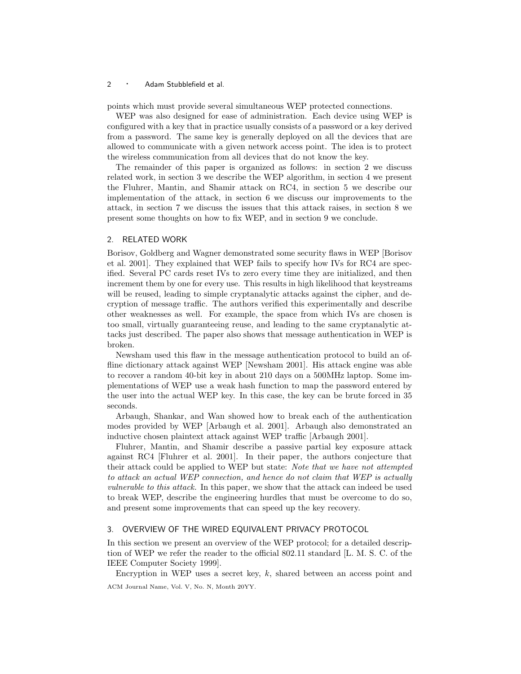points which must provide several simultaneous WEP protected connections.

WEP was also designed for ease of administration. Each device using WEP is configured with a key that in practice usually consists of a password or a key derived from a password. The same key is generally deployed on all the devices that are allowed to communicate with a given network access point. The idea is to protect the wireless communication from all devices that do not know the key.

The remainder of this paper is organized as follows: in section 2 we discuss related work, in section 3 we describe the WEP algorithm, in section 4 we present the Fluhrer, Mantin, and Shamir attack on RC4, in section 5 we describe our implementation of the attack, in section 6 we discuss our improvements to the attack, in section 7 we discuss the issues that this attack raises, in section 8 we present some thoughts on how to fix WEP, and in section 9 we conclude.

## 2. RELATED WORK

Borisov, Goldberg and Wagner demonstrated some security flaws in WEP [Borisov et al. 2001]. They explained that WEP fails to specify how IVs for RC4 are specified. Several PC cards reset IVs to zero every time they are initialized, and then increment them by one for every use. This results in high likelihood that keystreams will be reused, leading to simple cryptanalytic attacks against the cipher, and decryption of message traffic. The authors verified this experimentally and describe other weaknesses as well. For example, the space from which IVs are chosen is too small, virtually guaranteeing reuse, and leading to the same cryptanalytic attacks just described. The paper also shows that message authentication in WEP is broken.

Newsham used this flaw in the message authentication protocol to build an offline dictionary attack against WEP [Newsham 2001]. His attack engine was able to recover a random 40-bit key in about 210 days on a 500MHz laptop. Some implementations of WEP use a weak hash function to map the password entered by the user into the actual WEP key. In this case, the key can be brute forced in 35 seconds.

Arbaugh, Shankar, and Wan showed how to break each of the authentication modes provided by WEP [Arbaugh et al. 2001]. Arbaugh also demonstrated an inductive chosen plaintext attack against WEP traffic [Arbaugh 2001].

Fluhrer, Mantin, and Shamir describe a passive partial key exposure attack against RC4 [Fluhrer et al. 2001]. In their paper, the authors conjecture that their attack could be applied to WEP but state: Note that we have not attempted to attack an actual WEP connection, and hence do not claim that WEP is actually vulnerable to this attack. In this paper, we show that the attack can indeed be used to break WEP, describe the engineering hurdles that must be overcome to do so, and present some improvements that can speed up the key recovery.

## 3. OVERVIEW OF THE WIRED EQUIVALENT PRIVACY PROTOCOL

In this section we present an overview of the WEP protocol; for a detailed description of WEP we refer the reader to the official 802.11 standard [L. M. S. C. of the IEEE Computer Society 1999].

Encryption in WEP uses a secret key,  $k$ , shared between an access point and ACM Journal Name, Vol. V, No. N, Month 20YY.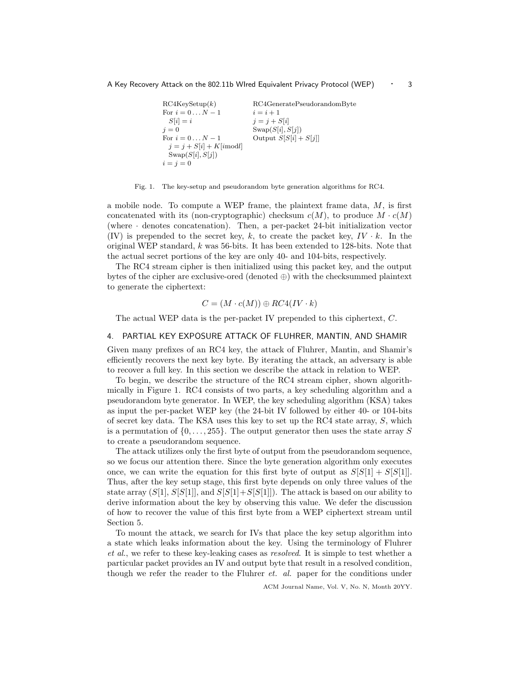```
RC4KeySetup(k) RC4GeneratePseudorandomByte
For i = 0...N - 1 i = i + 1S[i] = i j = j + S[i]j = 0<br>
For i = 0...N - 1<br>
Swap(S[i], S[j])<br>
Output S[S[i] +Output S[S[i] + S[j]]j = j + S[i] + K[imodl]Swap(S[i],S[j])i = j = 0
```


a mobile node. To compute a WEP frame, the plaintext frame data,  $M$ , is first concatenated with its (non-cryptographic) checksum  $c(M)$ , to produce  $M \cdot c(M)$ (where · denotes concatenation). Then, a per-packet 24-bit initialization vector (IV) is prepended to the secret key, k, to create the packet key,  $IV \cdot k$ . In the original WEP standard, k was 56-bits. It has been extended to 128-bits. Note that the actual secret portions of the key are only 40- and 104-bits, respectively.

The RC4 stream cipher is then initialized using this packet key, and the output bytes of the cipher are exclusive-ored (denoted ⊕) with the checksummed plaintext to generate the ciphertext:

$$
C = (M \cdot c(M)) \oplus RC4 (IV \cdot k)
$$

The actual WEP data is the per-packet IV prepended to this ciphertext, C.

# 4. PARTIAL KEY EXPOSURE ATTACK OF FLUHRER, MANTIN, AND SHAMIR

Given many prefixes of an RC4 key, the attack of Fluhrer, Mantin, and Shamir's efficiently recovers the next key byte. By iterating the attack, an adversary is able to recover a full key. In this section we describe the attack in relation to WEP.

To begin, we describe the structure of the RC4 stream cipher, shown algorithmically in Figure 1. RC4 consists of two parts, a key scheduling algorithm and a pseudorandom byte generator. In WEP, the key scheduling algorithm (KSA) takes as input the per-packet WEP key (the 24-bit IV followed by either 40- or 104-bits of secret key data. The KSA uses this key to set up the RC4 state array,  $S$ , which is a permutation of  $\{0, \ldots, 255\}$ . The output generator then uses the state array S to create a pseudorandom sequence.

The attack utilizes only the first byte of output from the pseudorandom sequence, so we focus our attention there. Since the byte generation algorithm only executes once, we can write the equation for this first byte of output as  $S[S(1] + S[S(1]]$ . Thus, after the key setup stage, this first byte depends on only three values of the state array  $(S[1], S[S[1]],$  and  $S[S[1]+S[S[1]])$ . The attack is based on our ability to derive information about the key by observing this value. We defer the discussion of how to recover the value of this first byte from a WEP ciphertext stream until Section 5.

To mount the attack, we search for IVs that place the key setup algorithm into a state which leaks information about the key. Using the terminology of Fluhrer et al., we refer to these key-leaking cases as resolved. It is simple to test whether a particular packet provides an IV and output byte that result in a resolved condition, though we refer the reader to the Fluhrer et. al. paper for the conditions under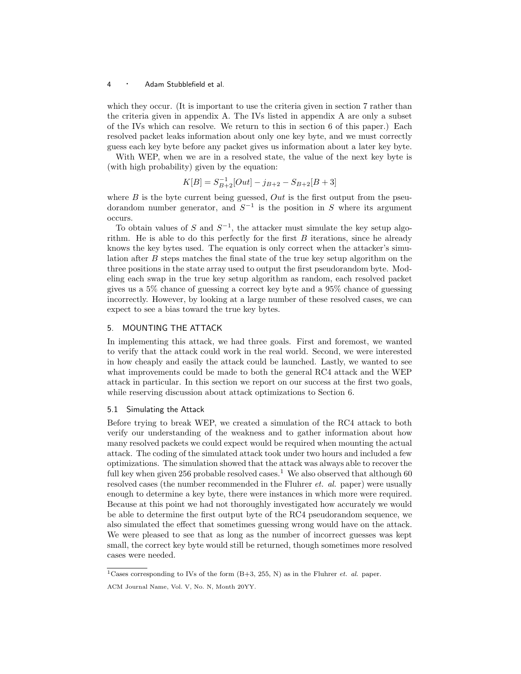which they occur. (It is important to use the criteria given in section 7 rather than the criteria given in appendix A. The IVs listed in appendix A are only a subset of the IVs which can resolve. We return to this in section 6 of this paper.) Each resolved packet leaks information about only one key byte, and we must correctly guess each key byte before any packet gives us information about a later key byte.

With WEP, when we are in a resolved state, the value of the next key byte is (with high probability) given by the equation:

$$
K[B] = S_{B+2}^{-1}[Out] - j_{B+2} - S_{B+2}[B+3]
$$

where  $B$  is the byte current being guessed,  $Out$  is the first output from the pseudorandom number generator, and  $S^{-1}$  is the position in S where its argument occurs.

To obtain values of S and  $S^{-1}$ , the attacker must simulate the key setup algorithm. He is able to do this perfectly for the first  $B$  iterations, since he already knows the key bytes used. The equation is only correct when the attacker's simulation after  $B$  steps matches the final state of the true key setup algorithm on the three positions in the state array used to output the first pseudorandom byte. Modeling each swap in the true key setup algorithm as random, each resolved packet gives us a 5% chance of guessing a correct key byte and a 95% chance of guessing incorrectly. However, by looking at a large number of these resolved cases, we can expect to see a bias toward the true key bytes.

# 5. MOUNTING THE ATTACK

In implementing this attack, we had three goals. First and foremost, we wanted to verify that the attack could work in the real world. Second, we were interested in how cheaply and easily the attack could be launched. Lastly, we wanted to see what improvements could be made to both the general RC4 attack and the WEP attack in particular. In this section we report on our success at the first two goals, while reserving discussion about attack optimizations to Section 6.

## 5.1 Simulating the Attack

Before trying to break WEP, we created a simulation of the RC4 attack to both verify our understanding of the weakness and to gather information about how many resolved packets we could expect would be required when mounting the actual attack. The coding of the simulated attack took under two hours and included a few optimizations. The simulation showed that the attack was always able to recoverthe full key when given 256 probable resolved cases.<sup>1</sup> We also observed that although  $60$ resolved cases (the number recommended in the Fluhrer *et. al.* paper) were usually enough to determine a key byte, there were instances in which more were required. Because at this point we had not thoroughly investigated how accurately we would be able to determine the first output byte of the RC4 pseudorandom sequence, we also simulated the effect that sometimes guessing wrong would have on the attack. We were pleased to see that as long as the number of incorrect guesses was kept small, the correct key byte would still be returned, though sometimes more resolved cases were needed.

<sup>&</sup>lt;sup>1</sup>Cases corresponding to IVs of the form  $(B+3, 255, N)$  as in the Fluhrer *et. al.* paper.

ACM Journal Name, Vol. V, No. N, Month 20YY.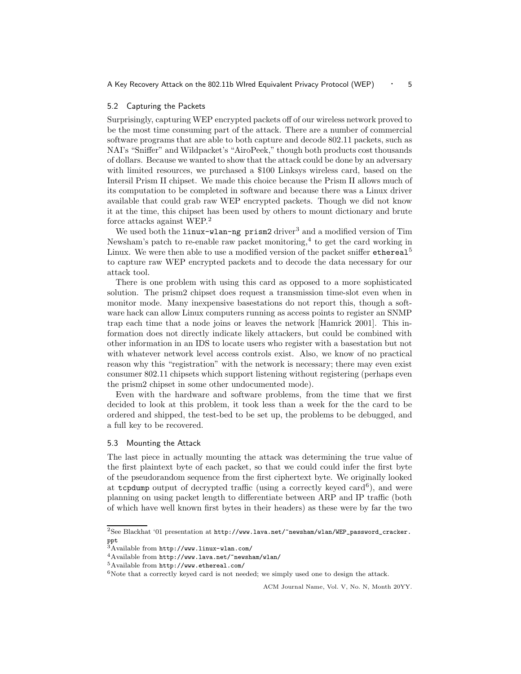## 5.2 Capturing the Packets

Surprisingly, capturing WEP encrypted packets off of our wireless network proved to be the most time consuming part of the attack. There are a number of commercial software programs that are able to both capture and decode 802.11 packets, such as NAI's "Sniffer" and Wildpacket's "AiroPeek," though both products cost thousands of dollars. Because we wanted to show that the attack could be done by an adversary with limited resources, we purchased a \$100 Linksys wireless card, based on the Intersil Prism II chipset. We made this choice because the Prism II allows much of its computation to be completed in software and because there was a Linux driver available that could grab raw WEP encrypted packets. Though we did not know it at the time, this chipset has been used by others to mount dictionary and brute force attacks against WEP.<sup>2</sup>

We used both the  $\lim_{x\to a} \frac{\text{prime}}{\text{cm}^3}$  and a modified version of Tim Newsham's patch to re-enable raw packet monitoring,<sup>4</sup> to get the card working in Linux. We were then able to use a modified version of the packet sniffer ethereal<sup>5</sup> to capture raw WEP encrypted packets and to decode the data necessary for our attack tool.

There is one problem with using this card as opposed to a more sophisticated solution. The prism2 chipset does request a transmission time-slot even when in monitor mode. Many inexpensive basestations do not report this, though a software hack can allow Linux computers running as access points to register an SNMP trap each time that a node joins or leaves the network [Hamrick 2001]. This information does not directly indicate likely attackers, but could be combined with other information in an IDS to locate users who register with a basestation but not with whatever network level access controls exist. Also, we know of no practical reason why this "registration" with the network is necessary; there may even exist consumer 802.11 chipsets which support listening without registering (perhaps even the prism2 chipset in some other undocumented mode).

Even with the hardware and software problems, from the time that we first decided to look at this problem, it took less than a week for the the card to be ordered and shipped, the test-bed to be set up, the problems to be debugged, and a full key to be recovered.

# 5.3 Mounting the Attack

The last piece in actually mounting the attack was determining the true value of the first plaintext byte of each packet, so that we could could infer the first byte of the pseudorandom sequence from the first ciphertext byte. We originally looked at  $t$ cpdump output of decrypted traffic (using a correctly keyed card<sup>6</sup>), and were planning on using packet length to differentiate between ARP and IP traffic (both of which have well known first bytes in their headers) as these were by far the two

 $2$ See Blackhat '01 presentation at  $http://www.lava.net/~newsham/wlan/WEP_password\_cracker$ . ppt

<sup>3</sup>Available from http://www.linux-wlan.com/

<sup>4</sup>Available from http://www.lava.net/~newsham/wlan/

<sup>5</sup>Available from http://www.ethereal.com/

 $6$ Note that a correctly keyed card is not needed; we simply used one to design the attack.

ACM Journal Name, Vol. V, No. N, Month 20YY.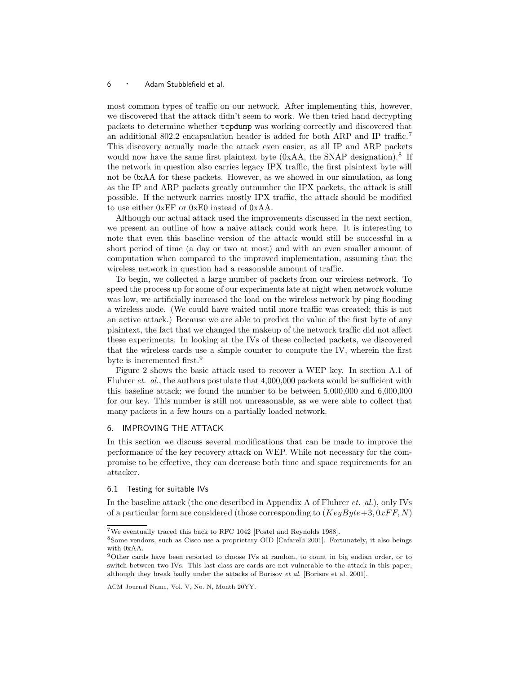most common types of traffic on our network. After implementing this, however, we discovered that the attack didn't seem to work. We then tried hand decrypting packets to determine whether tcpdump was working correctly and discovered that an additional 802.2 encapsulation header is added for both ARP and IP traffic.<sup>7</sup> This discovery actually made the attack even easier, as all IP and ARP packets would now have the same first plaintext byte (0xAA, the SNAP designation).<sup>8</sup> If the network in question also carries legacy IPX traffic, the first plaintext byte will not be 0xAA for these packets. However, as we showed in our simulation, as long as the IP and ARP packets greatly outnumber the IPX packets, the attack is still possible. If the network carries mostly IPX traffic, the attack should be modified to use either 0xFF or 0xE0 instead of 0xAA.

Although our actual attack used the improvements discussed in the next section, we present an outline of how a naive attack could work here. It is interesting to note that even this baseline version of the attack would still be successful in a short period of time (a day or two at most) and with an even smaller amount of computation when compared to the improved implementation, assuming that the wireless network in question had a reasonable amount of traffic.

To begin, we collected a large number of packets from our wireless network. To speed the process up for some of our experiments late at night when network volume was low, we artificially increased the load on the wireless network by ping flooding a wireless node. (We could have waited until more traffic was created; this is not an active attack.) Because we are able to predict the value of the first byte of any plaintext, the fact that we changed the makeup of the network traffic did not affect these experiments. In looking at the IVs of these collected packets, we discovered that the wireless cards use a simple counter to compute the IV, wherein the first byte is incremented first.<sup>9</sup>

Figure 2 shows the basic attack used to recover a WEP key. In section A.1 of Fluhrer *et. al.*, the authors postulate that 4,000,000 packets would be sufficient with this baseline attack; we found the number to be between 5,000,000 and 6,000,000 for our key. This number is still not unreasonable, as we were able to collect that many packets in a few hours on a partially loaded network.

#### 6. IMPROVING THE ATTACK

In this section we discuss several modifications that can be made to improve the performance of the key recovery attack on WEP. While not necessary for the compromise to be effective, they can decrease both time and space requirements for an attacker.

# 6.1 Testing for suitable IVs

In the baseline attack (the one described in Appendix A of Fluhrer et. al.), only IVs of a particular form are considered (those corresponding to  $(KeyByte+3, 0xFF, N)$ 

<sup>7</sup>We eventually traced this back to RFC 1042 [Postel and Reynolds 1988].

<sup>8</sup>Some vendors, such as Cisco use a proprietary OID [Cafarelli 2001]. Fortunately, it also beings with 0xAA.

<sup>9</sup>Other cards have been reported to choose IVs at random, to count in big endian order, or to switch between two IVs. This last class are cards are not vulnerable to the attack in this paper, although they break badly under the attacks of Borisov et al. [Borisov et al. 2001].

ACM Journal Name, Vol. V, No. N, Month 20YY.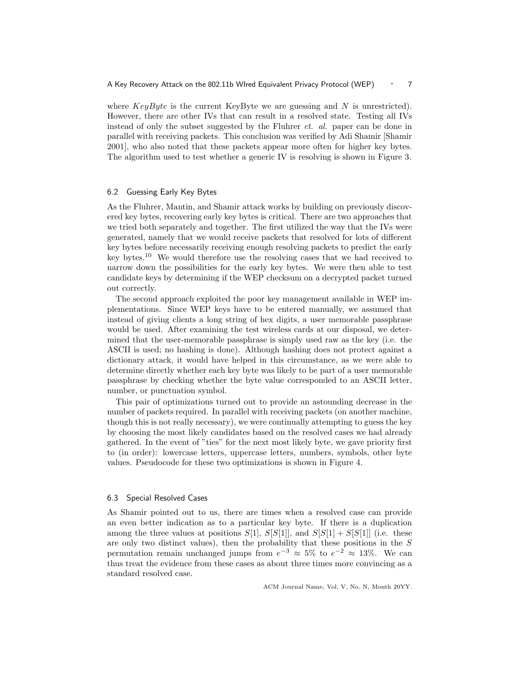where  $KeyByte$  is the current KeyByte we are guessing and N is unrestricted). However, there are other IVs that can result in a resolved state. Testing all IVs instead of only the subset suggested by the Fluhrer et. al. paper can be done in parallel with receiving packets. This conclusion was verified by Adi Shamir [Shamir 2001], who also noted that these packets appear more often for higher key bytes. The algorithm used to test whether a generic IV is resolving is shown in Figure 3.

# 6.2 Guessing Early Key Bytes

As the Fluhrer, Mantin, and Shamir attack works by building on previously discovered key bytes, recovering early key bytes is critical. There are two approaches that we tried both separately and together. The first utilized the way that the IVs were generated, namely that we would receive packets that resolved for lots of different key bytes before necessarily receiving enough resolving packets to predict the early key bytes.<sup>10</sup> We would therefore use the resolving cases that we had received to narrow down the possibilities for the early key bytes. We were then able to test candidate keys by determining if the WEP checksum on a decrypted packet turned out correctly.

The second approach exploited the poor key management available in WEP implementations. Since WEP keys have to be entered manually, we assumed that instead of giving clients a long string of hex digits, a user memorable passphrase would be used. After examining the test wireless cards at our disposal, we determined that the user-memorable passphrase is simply used raw as the key (i.e. the ASCII is used; no hashing is done). Although hashing does not protect against a dictionary attack, it would have helped in this circumstance, as we were able to determine directly whether each key byte was likely to be part of a user memorable passphrase by checking whether the byte value corresponded to an ASCII letter, number, or punctuation symbol.

This pair of optimizations turned out to provide an astounding decrease in the number of packets required. In parallel with receiving packets (on another machine, though this is not really necessary), we were continually attempting to guess the key by choosing the most likely candidates based on the resolved cases we had already gathered. In the event of "ties" for the next most likely byte, we gave priority first to (in order): lowercase letters, uppercase letters, numbers, symbols, other byte values. Pseudocode for these two optimizations is shown in Figure 4.

## 6.3 Special Resolved Cases

As Shamir pointed out to us, there are times when a resolved case can provide an even better indication as to a particular key byte. If there is a duplication among the three values at positions  $S[1]$ ,  $S[S[1]]$ , and  $S[S[1] + S[S[1]]$  (i.e. these are only two distinct values), then the probability that these positions in the  $S$ permutation remain unchanged jumps from  $e^{-3} \approx 5\%$  to  $e^{-2} \approx 13\%$ . We can thus treat the evidence from these cases as about three times more convincing as a standard resolved case.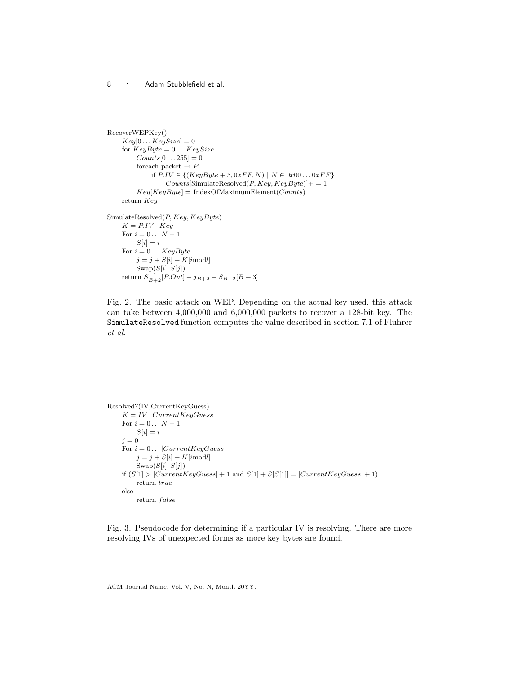```
RecoverWEPKey()
    Key[0...KeySize] = 0for KeyByte = 0 \dots KeySize\mathit{Counts}[0 \dots 255] = 0for<br>each packet \rightarrow Pif P.IV ∈ \{(KeyByte + 3, 0xFF, N) | N ∈ 0x00...0xFF\}Counts[\text{SimulateResolved}(P, Key, KeyByte)] += 1Key[KeyByte] = IndexOfMaximumElement(Counts)returnKeySimulateResolved(P, Key, KeyByte)K = P.IV \cdot KeyFor i=0\ldots N-1S[i] = iFor i = 0 \dots KeyBytej = j + S[i] + K[imodl]\text{Swap}(S[i], S[j])return S_{B+2}^{-1}[P.Out]-j_{B+2}-S_{B+2}[B+3]
```
Fig. 2. The basic attack on WEP. Depending on the actual key used, this attack can take between 4,000,000 and 6,000,000 packets to recover a 128-bit key. The SimulateResolved function computes the value described in section 7.1 of Fluhrer et al.

```
Resolved?(IV,CurrentKeyGuess)
    K = IV \cdot CurrentKeyGuessFor i=0\ldots N-1S[i] = ij = 0For i = 0 \dots |CurrentKeyGuess|j = j + S[i] + K[imodl]\text{Swap}(S[i], S[j])if (S[1] > |CurrentKeyGuess| + 1 and S[1] + S[S[1]] = |CurrentKeyGuess| + 1)return true
    else
        return false
```
Fig. 3. Pseudocode for determining if a particular IV is resolving. There are more resolving IVs of unexpected forms as more key bytes are found.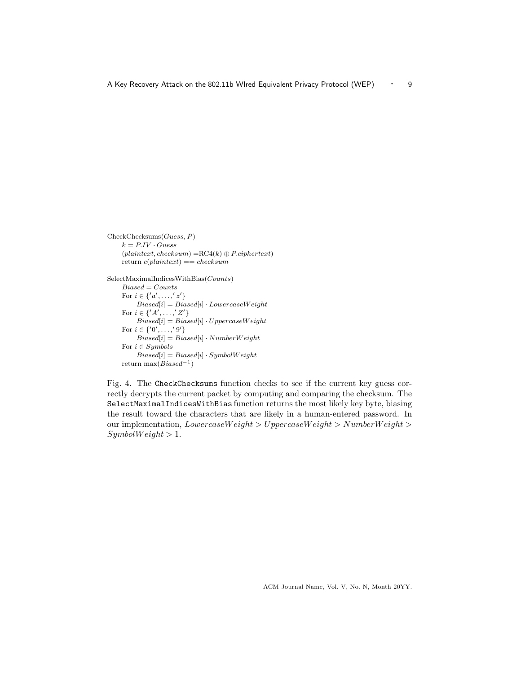CheckChecksums(Guess, P)  $k = P.IV \cdot Guess$  $(plaintext, checksum) = RC4(k) \oplus P.ciphertext)$ return  $c(plaintext) == checksum$ 

SelectMaximalIndicesWithBias(Counts)

 $Biased = Counts$ For  $i \in \{ 'a', \ldots, 'z' \}$  $\label{Biased} Biased[i] = Biased[i] \cdot Lower caseWeight$ For  $i \in \{ 'A', \ldots, 'Z' \}$  $Biased[i] = Biased[i] \cdot UppercaseWeight$ For  $i \in \{0, \ldots, 9\}$  $Biased[i] = Biased[i] \cdot NumberWeight$ For  $i \in Symbols$  $Biased[i] = Biased[i] \cdot SymbolWeight$ return max $(Biased^{-1})$ 

Fig. 4. The CheckChecksums function checks to see if the current key guess correctly decrypts the current packet by computing and comparing the checksum. The SelectMaximalIndicesWithBias function returns the most likely key byte, biasing the result toward the characters that are likely in a human-entered password. In our implementation,  $LowercaseWeight > UppercaseWeight > NumberWeight >$  $SymbolWeight > 1.$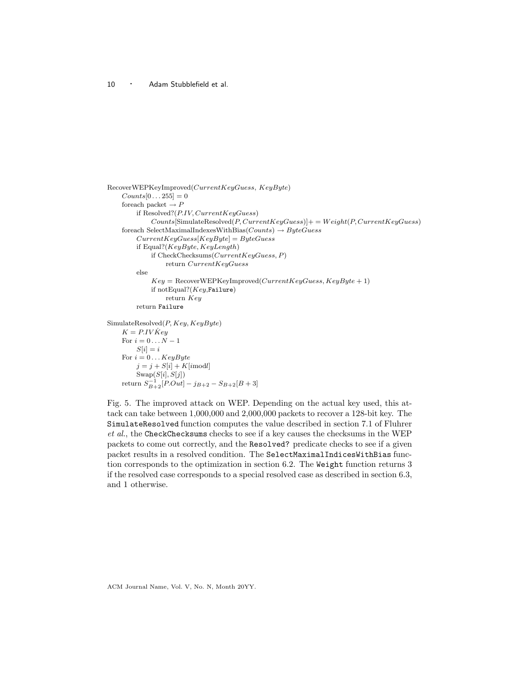```
RecoverWEPKeyImproved(CurrentKeyGuess, KeyByte)
    Counts[0 \dots 255] = 0for<br>each packet \rightarrow Pif Resolved?(P. IV, CurrentKeyGuess)Counts[SimulateResolver, CurrentKeyGuess]] += Weight(P, CurrentKeyGuess)foreach SelectMaximalIndexesWithBias(Counts) \rightarrow ByteGuessCurrentKeyGuess[KeyByte] = ByteGuessif Equal?(KeyByte, KeyLength)
             if CheckChecksums(CurrentKeyGuess, P)return CurrentKeyGuess
        else
             Key = Recovery \times \text{KEY} Mey Improved(CurrentKeyGuess, KeyByte + 1)if notEqual?(Key, Failure)return Key
        return Failure
SimulateResolved(P, Key, KeyByte)K = P.IV\dot{K}eyFor i = 0 \dots N-1S[i] = iFor i = 0 \dots KeyBytej = j + S[i] + K[imodl]\text{Swap}(S[i], S[j])return S_{B+2}^{-1}[P.Out]-j_{B+2}-S_{B+2}[B+3]
```
Fig. 5. The improved attack on WEP. Depending on the actual key used, this attack can take between 1,000,000 and 2,000,000 packets to recover a 128-bit key. The SimulateResolved function computes the value described in section 7.1 of Fluhrer et al., the CheckChecksums checks to see if a key causes the checksums in the WEP packets to come out correctly, and the Resolved? predicate checks to see if a given packet results in a resolved condition. The SelectMaximalIndicesWithBias function corresponds to the optimization in section 6.2. The Weight function returns 3 if the resolved case corresponds to a special resolved case as described in section 6.3, and 1 otherwise.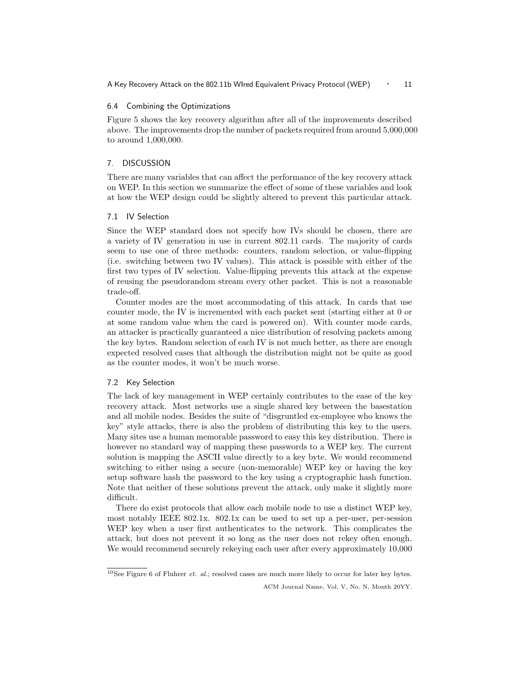A Key Recovery Attack on the 802.11b WIred Equivalent Privacy Protocol (WEP) • 11

# 6.4 Combining the Optimizations

Figure 5 shows the key recovery algorithm after all of the improvements described above. The improvements drop the number of packets required from around 5,000,000 to around 1,000,000.

# 7. DISCUSSION

There are many variables that can affect the performance of the key recovery attack on WEP. In this section we summarize the effect of some of these variables and look at how the WEP design could be slightly altered to prevent this particular attack.

#### 7.1 IV Selection

Since the WEP standard does not specify how IVs should be chosen, there are a variety of IV generation in use in current 802.11 cards. The majority of cards seem to use one of three methods: counters, random selection, or value-flipping (i.e. switching between two IV values). This attack is possible with either of the first two types of IV selection. Value-flipping prevents this attack at the expense of reusing the pseudorandom stream every other packet. This is not a reasonable trade-off.

Counter modes are the most accommodating of this attack. In cards that use counter mode, the IV is incremented with each packet sent (starting either at 0 or at some random value when the card is powered on). With counter mode cards, an attacker is practically guaranteed a nice distribution of resolving packets among the key bytes. Random selection of each IV is not much better, as there are enough expected resolved cases that although the distribution might not be quite as good as the counter modes, it won't be much worse.

## 7.2 Key Selection

The lack of key management in WEP certainly contributes to the ease of the key recovery attack. Most networks use a single shared key between the basestation and all mobile nodes. Besides the suite of "disgruntled ex-employee who knows the key" style attacks, there is also the problem of distributing this key to the users. Many sites use a human memorable password to easy this key distribution. There is however no standard way of mapping these passwords to a WEP key. The current solution is mapping the ASCII value directly to a key byte. We would recommend switching to either using a secure (non-memorable) WEP key or having the key setup software hash the password to the key using a cryptographic hash function. Note that neither of these solutions prevent the attack, only make it slightly more difficult.

There do exist protocols that allow each mobile node to use a distinct WEP key, most notably IEEE 802.1x. 802.1x can be used to set up a per-user, per-session WEP key when a user first authenticates to the network. This complicates the attack, but does not prevent it so long as the user does not rekey often enough. We would recommend securely rekeying each user after every approximately 10,000

 $10$ See Figure 6 of Fluhrer *et. al.*; resolved cases are much more likely to occur for later key bytes.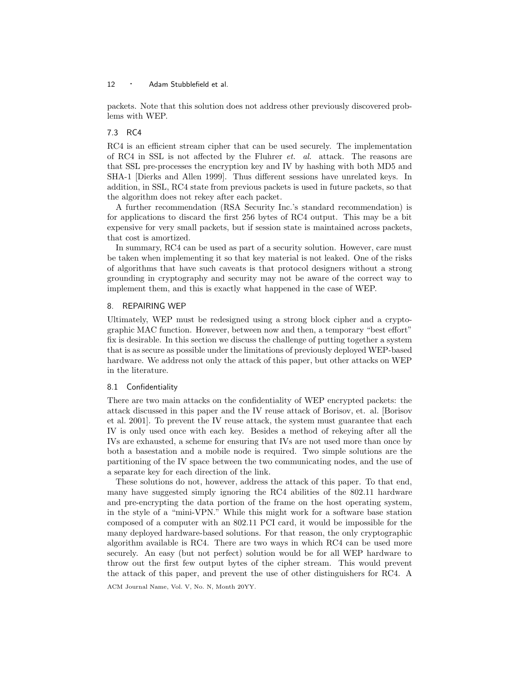packets. Note that this solution does not address other previously discovered problems with WEP.

# 7.3 RC4

RC4 is an efficient stream cipher that can be used securely. The implementation of RC4 in SSL is not affected by the Fluhrer  $et.$  al. attack. The reasons are that SSL pre-processes the encryption key and IV by hashing with both MD5 and SHA-1 [Dierks and Allen 1999]. Thus different sessions have unrelated keys. In addition, in SSL, RC4 state from previous packets is used in future packets, so that the algorithm does not rekey after each packet.

A further recommendation (RSA Security Inc.'s standard recommendation) is for applications to discard the first 256 bytes of RC4 output. This may be a bit expensive for very small packets, but if session state is maintained across packets, that cost is amortized.

In summary, RC4 can be used as part of a security solution. However, care must be taken when implementing it so that key material is not leaked. One of the risks of algorithms that have such caveats is that protocol designers without a strong grounding in cryptography and security may not be aware of the correct way to implement them, and this is exactly what happened in the case of WEP.

## 8. REPAIRING WEP

Ultimately, WEP must be redesigned using a strong block cipher and a cryptographic MAC function. However, between now and then, a temporary "best effort" fix is desirable. In this section we discuss the challenge of putting together a system that is as secure as possible under the limitations of previously deployed WEP-based hardware. We address not only the attack of this paper, but other attacks on WEP in the literature.

# 8.1 Confidentiality

There are two main attacks on the confidentiality of WEP encrypted packets: the attack discussed in this paper and the IV reuse attack of Borisov, et. al. [Borisov et al. 2001]. To prevent the IV reuse attack, the system must guarantee that each IV is only used once with each key. Besides a method of rekeying after all the IVs are exhausted, a scheme for ensuring that IVs are not used more than once by both a basestation and a mobile node is required. Two simple solutions are the partitioning of the IV space between the two communicating nodes, and the use of a separate key for each direction of the link.

These solutions do not, however, address the attack of this paper. To that end, many have suggested simply ignoring the RC4 abilities of the 802.11 hardware and pre-encrypting the data portion of the frame on the host operating system, in the style of a "mini-VPN." While this might work for a software base station composed of a computer with an 802.11 PCI card, it would be impossible for the many deployed hardware-based solutions. For that reason, the only cryptographic algorithm available is RC4. There are two ways in which RC4 can be used more securely. An easy (but not perfect) solution would be for all WEP hardware to throw out the first few output bytes of the cipher stream. This would prevent the attack of this paper, and prevent the use of other distinguishers for RC4. A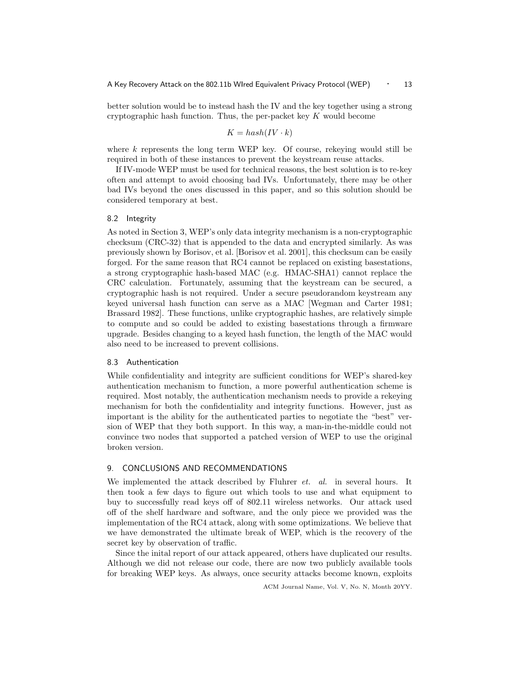better solution would be to instead hash the IV and the key together using a strong cryptographic hash function. Thus, the per-packet key  $K$  would become

$$
K = hash(IV \cdot k)
$$

where  $k$  represents the long term WEP key. Of course, rekeying would still be required in both of these instances to prevent the keystream reuse attacks.

If IV-mode WEP must be used for technical reasons, the best solution is to re-key often and attempt to avoid choosing bad IVs. Unfortunately, there may be other bad IVs beyond the ones discussed in this paper, and so this solution should be considered temporary at best.

# 8.2 Integrity

As noted in Section 3, WEP's only data integrity mechanism is a non-cryptographic checksum (CRC-32) that is appended to the data and encrypted similarly. As was previously shown by Borisov, et al. [Borisov et al. 2001], this checksum can be easily forged. For the same reason that RC4 cannot be replaced on existing basestations, a strong cryptographic hash-based MAC (e.g. HMAC-SHA1) cannot replace the CRC calculation. Fortunately, assuming that the keystream can be secured, a cryptographic hash is not required. Under a secure pseudorandom keystream any keyed universal hash function can serve as a MAC [Wegman and Carter 1981; Brassard 1982]. These functions, unlike cryptographic hashes, are relatively simple to compute and so could be added to existing basestations through a firmware upgrade. Besides changing to a keyed hash function, the length of the MAC would also need to be increased to prevent collisions.

#### 8.3 Authentication

While confidentiality and integrity are sufficient conditions for WEP's shared-key authentication mechanism to function, a more powerful authentication scheme is required. Most notably, the authentication mechanism needs to provide a rekeying mechanism for both the confidentiality and integrity functions. However, just as important is the ability for the authenticated parties to negotiate the "best" version of WEP that they both support. In this way, a man-in-the-middle could not convince two nodes that supported a patched version of WEP to use the original broken version.

# 9. CONCLUSIONS AND RECOMMENDATIONS

We implemented the attack described by Fluhrer  $et.$  al. in several hours. It then took a few days to figure out which tools to use and what equipment to buy to successfully read keys off of 802.11 wireless networks. Our attack used off of the shelf hardware and software, and the only piece we provided was the implementation of the RC4 attack, along with some optimizations. We believe that we have demonstrated the ultimate break of WEP, which is the recovery of the secret key by observation of traffic.

Since the inital report of our attack appeared, others have duplicated our results. Although we did not release our code, there are now two publicly available tools for breaking WEP keys. As always, once security attacks become known, exploits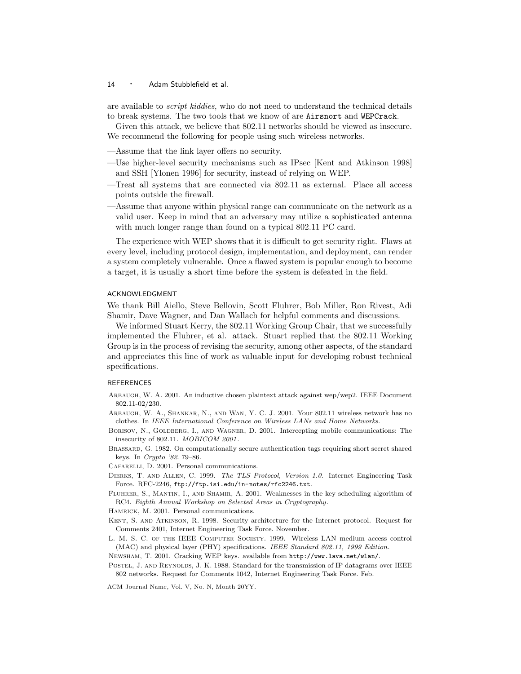are available to *script kiddies*, who do not need to understand the technical details to break systems. The two tools that we know of are Airsnort and WEPCrack.

Given this attack, we believe that 802.11 networks should be viewed as insecure. We recommend the following for people using such wireless networks.

—Assume that the link layer offers no security.

- —Use higher-level security mechanisms such as IPsec [Kent and Atkinson 1998] and SSH [Ylonen 1996] for security, instead of relying on WEP.
- —Treat all systems that are connected via 802.11 as external. Place all access points outside the firewall.
- —Assume that anyone within physical range can communicate on the network as a valid user. Keep in mind that an adversary may utilize a sophisticated antenna with much longer range than found on a typical 802.11 PC card.

The experience with WEP shows that it is difficult to get security right. Flaws at every level, including protocol design, implementation, and deployment, can render a system completely vulnerable. Once a flawed system is popular enough to become a target, it is usually a short time before the system is defeated in the field.

#### ACKNOWLEDGMENT

We thank Bill Aiello, Steve Bellovin, Scott Fluhrer, Bob Miller, Ron Rivest, Adi Shamir, Dave Wagner, and Dan Wallach for helpful comments and discussions.

We informed Stuart Kerry, the 802.11 Working Group Chair, that we successfully implemented the Fluhrer, et al. attack. Stuart replied that the 802.11 Working Group is in the process of revising the security, among other aspects, of the standard and appreciates this line of work as valuable input for developing robust technical specifications.

#### REFERENCES

- Arbaugh, W. A. 2001. An inductive chosen plaintext attack against wep/wep2. IEEE Document 802.11-02/230.
- Arbaugh, W. A., Shankar, N., and Wan, Y. C. J. 2001. Your 802.11 wireless network has no clothes. In IEEE International Conference on Wireless LANs and Home Networks.
- BORISOV, N., GOLDBERG, I., AND WAGNER, D. 2001. Intercepting mobile communications: The insecurity of 802.11. MOBICOM 2001 .
- Brassard, G. 1982. On computationally secure authentication tags requiring short secret shared keys. In Crypto '82. 79–86.

CAFARELLI, D. 2001. Personal communications.

- Dierks, T. and Allen, C. 1999. The TLS Protocol, Version 1.0. Internet Engineering Task Force. RFC-2246, ftp://ftp.isi.edu/in-notes/rfc2246.txt.
- Fluhrer, S., Mantin, I., and Shamir, A. 2001. Weaknesses in the key scheduling algorithm of RC4. Eighth Annual Workshop on Selected Areas in Cryptography.

HAMRICK, M. 2001. Personal communications.

- Kent, S. and Atkinson, R. 1998. Security architecture for the Internet protocol. Request for Comments 2401, Internet Engineering Task Force. November.
- L. M. S. C. of the IEEE Computer Society. 1999. Wireless LAN medium access control (MAC) and physical layer (PHY) specifications. IEEE Standard 802.11, 1999 Edition.

Newsham, T. 2001. Cracking WEP keys. available from http://www.lava.net/wlan/.

POSTEL, J. AND REYNOLDS, J. K. 1988. Standard for the transmission of IP datagrams over IEEE 802 networks. Request for Comments 1042, Internet Engineering Task Force. Feb.